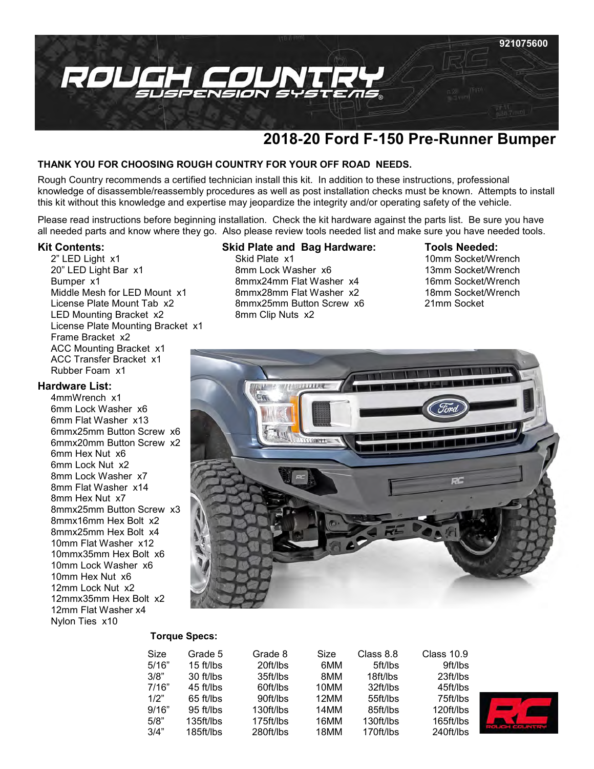

# **2018-20 Ford F-150 Pre-Runner Bumper**

#### **THANK YOU FOR CHOOSING ROUGH COUNTRY FOR YOUR OFF ROAD NEEDS.**

Rough Country recommends a certified technician install this kit. In addition to these instructions, professional knowledge of disassemble/reassembly procedures as well as post installation checks must be known. Attempts to install this kit without this knowledge and expertise may jeopardize the integrity and/or operating safety of the vehicle.

Please read instructions before beginning installation. Check the kit hardware against the parts list. Be sure you have all needed parts and know where they go. Also please review tools needed list and make sure you have needed tools.

#### **Kit Contents:**

2" LED Light x1 20" LED Light Bar x1 Bumper x1 Middle Mesh for LED Mount x1 License Plate Mount Tab x2 LED Mounting Bracket x2 License Plate Mounting Bracket x1 Frame Bracket x2 ACC Mounting Bracket x1 ACC Transfer Bracket x1 Rubber Foam x1

#### **Hardware List:**

4mmWrench x1 6mm Lock Washer x6 6mm Flat Washer x13 6mmx25mm Button Screw x6 6mmx20mm Button Screw x2 6mm Hex Nut x6 6mm Lock Nut x2 8mm Lock Washer x7 8mm Flat Washer x14 8mm Hex Nut x7 8mmx25mm Button Screw x3 8mmx16mm Hex Bolt x2 8mmx25mm Hex Bolt x4 10mm Flat Washer x12 10mmx35mm Hex Bolt x6 10mm Lock Washer x6 10mm Hex Nut x6 12mm Lock Nut x2 12mmx35mm Hex Bolt x2 12mm Flat Washer x4 Nylon Ties x10

#### **Skid Plate and Bag Hardware:**

Skid Plate x1 8mm Lock Washer x6 8mmx24mm Flat Washer x4 8mmx28mm Flat Washer x2 8mmx25mm Button Screw x6 8mm Clip Nuts x2

#### **Tools Needed:**

10mm Socket/Wrench 13mm Socket/Wrench 16mm Socket/Wrench 18mm Socket/Wrench 21mm Socket



#### **Torque Specs:**

| Size  | Grade 5     | Grade 8   | Size | Class 8.8 | <b>Class 10.9</b> |  |
|-------|-------------|-----------|------|-----------|-------------------|--|
| 5/16" | $15$ ft/lbs | 20ft/lbs  | 6MM  | 5ft/lbs   | 9ft/lbs           |  |
| 3/8"  | 30 ft/lbs   | 35ft/lbs  | 8MM  | 18ft/lbs  | 23ft/lbs          |  |
| 7/16" | 45 ft/lbs   | 60ft/lbs  | 10MM | 32ft/lbs  | 45ft/lbs          |  |
| 1/2"  | $65$ ft/lbs | 90ft/lbs  | 12MM | 55ft/lbs  | 75ft/lbs          |  |
| 9/16" | 95 ft/lbs   | 130ft/lbs | 14MM | 85ft/lbs  | 120ft/lbs         |  |
| 5/8"  | 135ft/lbs   | 175ft/lbs | 16MM | 130ft/lbs | 165ft/lbs         |  |
| 3/4"  | 185ft/lbs   | 280ft/lbs | 18MM | 170ft/lbs | 240ft/lbs         |  |

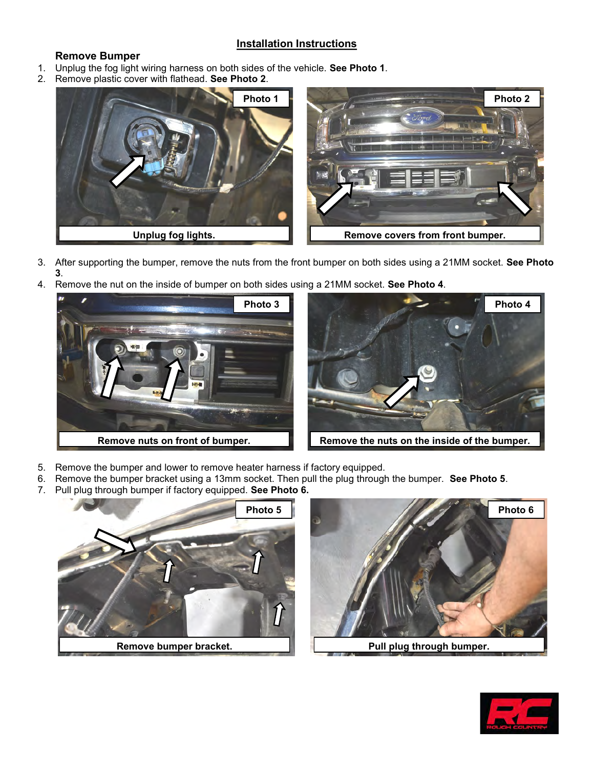# **Installation Instructions**

## **Remove Bumper**

- 1. Unplug the fog light wiring harness on both sides of the vehicle. **See Photo 1**.
- 2. Remove plastic cover with flathead. **See Photo 2**.



- 3. After supporting the bumper, remove the nuts from the front bumper on both sides using a 21MM socket. **See Photo 3**.
- 4. Remove the nut on the inside of bumper on both sides using a 21MM socket. **See Photo 4**.



- 5. Remove the bumper and lower to remove heater harness if factory equipped.
- 6. Remove the bumper bracket using a 13mm socket. Then pull the plug through the bumper. **See Photo 5**.
- 7. Pull plug through bumper if factory equipped. **See Photo 6.**





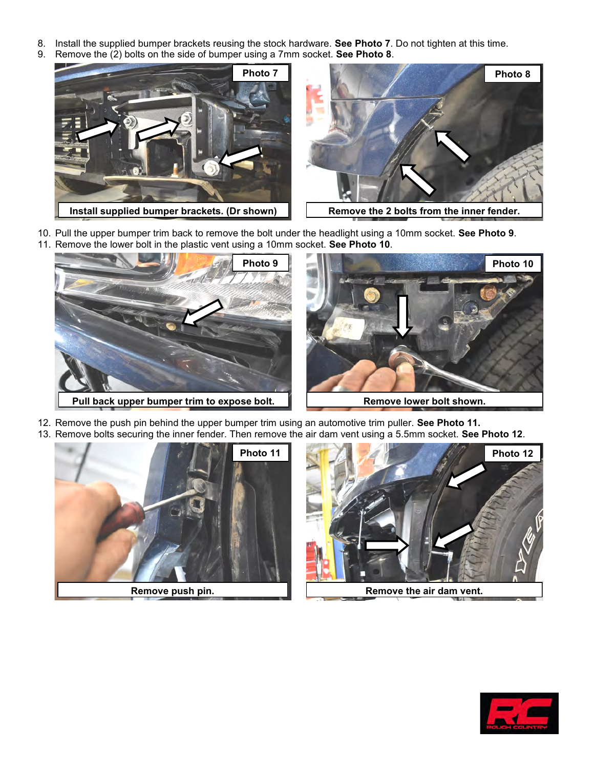- 8. Install the supplied bumper brackets reusing the stock hardware. **See Photo 7**. Do not tighten at this time.
- 9. Remove the (2) bolts on the side of bumper using a 7mm socket. **See Photo 8**.





- 10. Pull the upper bumper trim back to remove the bolt under the headlight using a 10mm socket. **See Photo 9**.
- 11. Remove the lower bolt in the plastic vent using a 10mm socket. **See Photo 10**.



- 12. Remove the push pin behind the upper bumper trim using an automotive trim puller. **See Photo 11.**
- 13. Remove bolts securing the inner fender. Then remove the air dam vent using a 5.5mm socket. **See Photo 12**.





**Remove the air dam vent.**

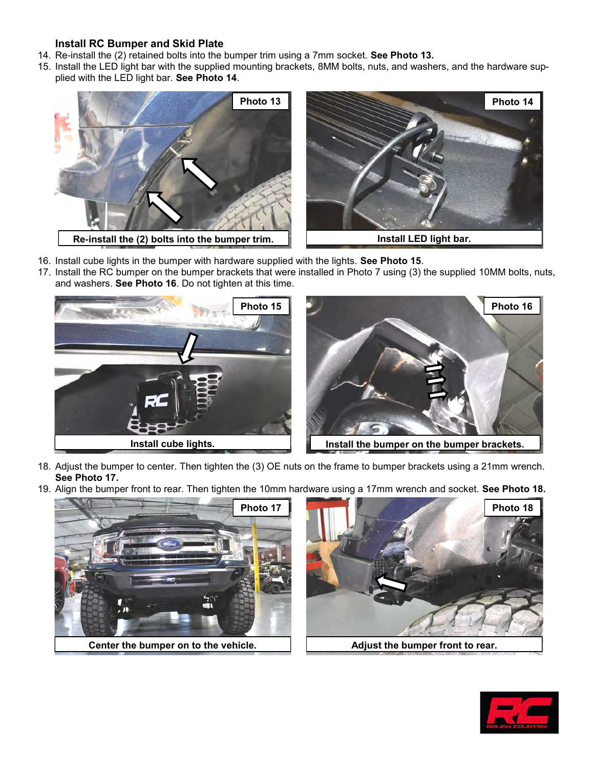### **Install RC Bumper and Skid Plate**

- 14. Re-install the (2) retained bolts into the bumper trim using a 7mm socket. **See Photo 13.**
- 15. Install the LED light bar with the supplied mounting brackets, 8MM bolts, nuts, and washers, and the hardware supplied with the LED light bar. **See Photo 14**.



- 16. Install cube lights in the bumper with hardware supplied with the lights. **See Photo 15**.
- 17. Install the RC bumper on the bumper brackets that were installed in Photo 7 using (3) the supplied 10MM bolts, nuts, and washers. **See Photo 16**. Do not tighten at this time.





**Install the bumper on the bumper brackets.**

- 18. Adjust the bumper to center. Then tighten the (3) OE nuts on the frame to bumper brackets using a 21mm wrench. **See Photo 17.**
- 19. Align the bumper front to rear. Then tighten the 10mm hardware using a 17mm wrench and socket. **See Photo 18.**



**Center the bumper on to the vehicle.**



**Adjust the bumper front to rear.** 

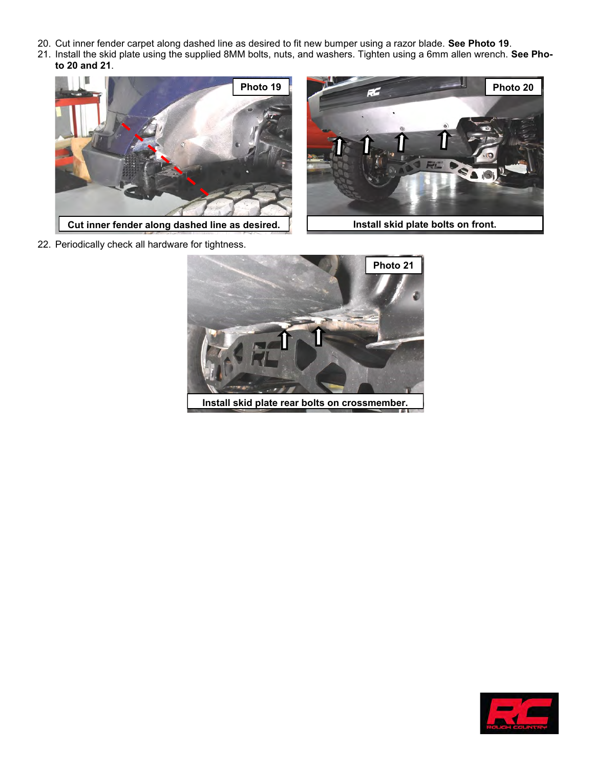- 20. Cut inner fender carpet along dashed line as desired to fit new bumper using a razor blade. **See Photo 19**.
- 21. Install the skid plate using the supplied 8MM bolts, nuts, and washers. Tighten using a 6mm allen wrench. **See Photo 20 and 21**.





**Cut inner fender along dashed line as desired.**

**Install skid plate bolts on front.**

22. Periodically check all hardware for tightness.